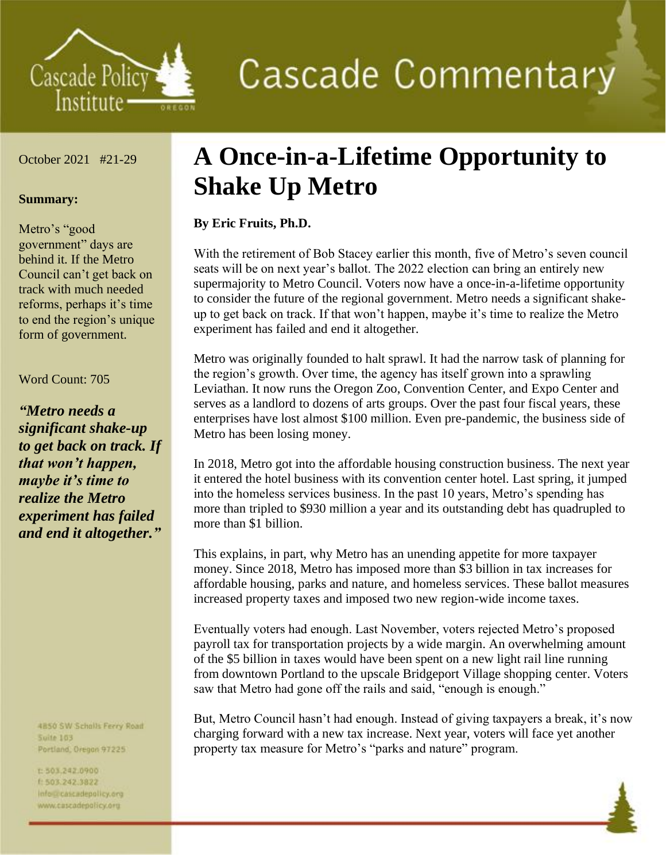

# **Cascade Commentary**

October 2021 #21-29

#### **Summary:**

Metro's "good government" days are behind it. If the Metro Council can't get back on track with much needed reforms, perhaps it's time to end the region's unique form of government.

#### Word Count: 705

*"Metro needs a significant shake-up to get back on track. If that won't happen, maybe it's time to realize the Metro experiment has failed and end it altogether."*

> 4B50 SW Scholls Ferry Road **Suite 103** Portland, Oregon 97225

t:503,242.0900 1 503.242.3822 info@cascadepolicy.org www.cascadepolicy.org

## **A Once-in-a-Lifetime Opportunity to Shake Up Metro**

### **By Eric Fruits, Ph.D.**

With the retirement of Bob Stacey earlier this month, five of Metro's seven council seats will be on next year's ballot. The 2022 election can bring an entirely new supermajority to Metro Council. Voters now have a once-in-a-lifetime opportunity to consider the future of the regional government. Metro needs a significant shakeup to get back on track. If that won't happen, maybe it's time to realize the Metro experiment has failed and end it altogether.

Metro was originally founded to halt sprawl. It had the narrow task of planning for the region's growth. Over time, the agency has itself grown into a sprawling Leviathan. It now runs the Oregon Zoo, Convention Center, and Expo Center and serves as a landlord to dozens of arts groups. Over the past four fiscal years, these enterprises have lost almost \$100 million. Even pre-pandemic, the business side of Metro has been losing money.

In 2018, Metro got into the affordable housing construction business. The next year it entered the hotel business with its convention center hotel. Last spring, it jumped into the homeless services business. In the past 10 years, Metro's spending has more than tripled to \$930 million a year and its outstanding debt has quadrupled to more than \$1 billion.

This explains, in part, why Metro has an unending appetite for more taxpayer money. Since 2018, Metro has imposed more than \$3 billion in tax increases for affordable housing, parks and nature, and homeless services. These ballot measures increased property taxes and imposed two new region-wide income taxes.

Eventually voters had enough. Last November, voters rejected Metro's proposed payroll tax for transportation projects by a wide margin. An overwhelming amount of the \$5 billion in taxes would have been spent on a new light rail line running from downtown Portland to the upscale Bridgeport Village shopping center. Voters saw that Metro had gone off the rails and said, "enough is enough."

But, Metro Council hasn't had enough. Instead of giving taxpayers a break, it's now charging forward with a new tax increase. Next year, voters will face yet another property tax measure for Metro's "parks and nature" program.